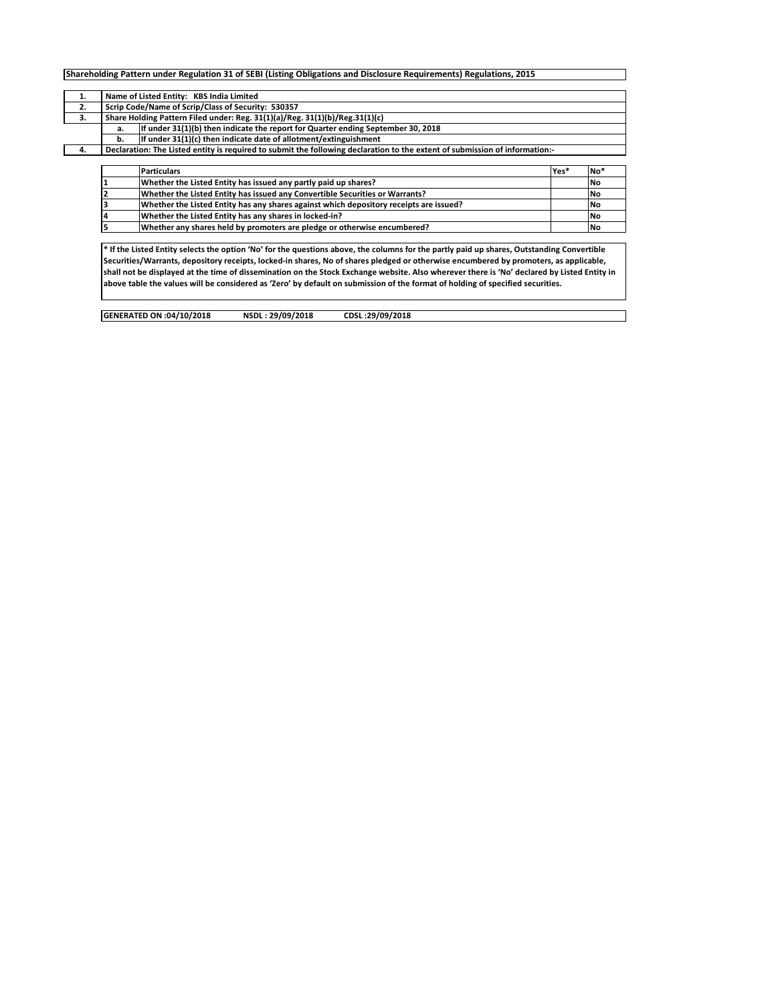|    |                                                                             | Shareholding Pattern under Regulation 31 of SEBI (Listing Obligations and Disclosure Requirements) Regulations, 2015        |      |     |  |  |  |  |  |  |  |  |
|----|-----------------------------------------------------------------------------|-----------------------------------------------------------------------------------------------------------------------------|------|-----|--|--|--|--|--|--|--|--|
| 1. |                                                                             | Name of Listed Entity: KBS India Limited                                                                                    |      |     |  |  |  |  |  |  |  |  |
| 2. | Scrip Code/Name of Scrip/Class of Security: 530357                          |                                                                                                                             |      |     |  |  |  |  |  |  |  |  |
| 3. | Share Holding Pattern Filed under: Reg. 31(1)(a)/Reg. 31(1)(b)/Reg.31(1)(c) |                                                                                                                             |      |     |  |  |  |  |  |  |  |  |
|    | а.                                                                          | If under 31(1)(b) then indicate the report for Quarter ending September 30, 2018                                            |      |     |  |  |  |  |  |  |  |  |
|    | b.                                                                          | If under 31(1)(c) then indicate date of allotment/extinguishment                                                            |      |     |  |  |  |  |  |  |  |  |
| 4. |                                                                             | Declaration: The Listed entity is required to submit the following declaration to the extent of submission of information:- |      |     |  |  |  |  |  |  |  |  |
|    |                                                                             |                                                                                                                             |      |     |  |  |  |  |  |  |  |  |
|    |                                                                             | <b>Particulars</b>                                                                                                          | Yes* | No* |  |  |  |  |  |  |  |  |
|    |                                                                             | Whether the Listed Entity has issued any partly paid up shares?                                                             |      | No  |  |  |  |  |  |  |  |  |
|    |                                                                             | Whether the Listed Entity has issued any Convertible Securities or Warrants?                                                |      | No  |  |  |  |  |  |  |  |  |
|    |                                                                             | Whether the Listed Entity has any shares against which depository receipts are issued?                                      |      | No  |  |  |  |  |  |  |  |  |
|    |                                                                             | Whether the Listed Entity has any shares in locked-in?                                                                      |      | No  |  |  |  |  |  |  |  |  |
|    |                                                                             | Whether any shares held by promoters are pledge or otherwise encumbered?                                                    |      | No  |  |  |  |  |  |  |  |  |

| Whether the Listed Entity has issued any Convertible Securities or Warrants?           | <b>No</b> |
|----------------------------------------------------------------------------------------|-----------|
| Whether the Listed Entity has any shares against which depository receipts are issued? | <b>No</b> |
| Whether the Listed Entity has any shares in locked-in?                                 | <b>No</b> |
| Whether any shares held by promoters are pledge or otherwise encumbered?               | <b>No</b> |
|                                                                                        |           |
|                                                                                        |           |

**\* If the Listed Entity selects the option 'No' for the questions above, the columns for the partly paid up shares, Outstanding Convertible Securities/Warrants, depository receipts, locked-in shares, No of shares pledged or otherwise encumbered by promoters, as applicable, shall not be displayed at the time of dissemination on the Stock Exchange website. Also wherever there is 'No' declared by Listed Entity in above table the values will be considered as 'Zero' by default on submission of the format of holding of specified securities.**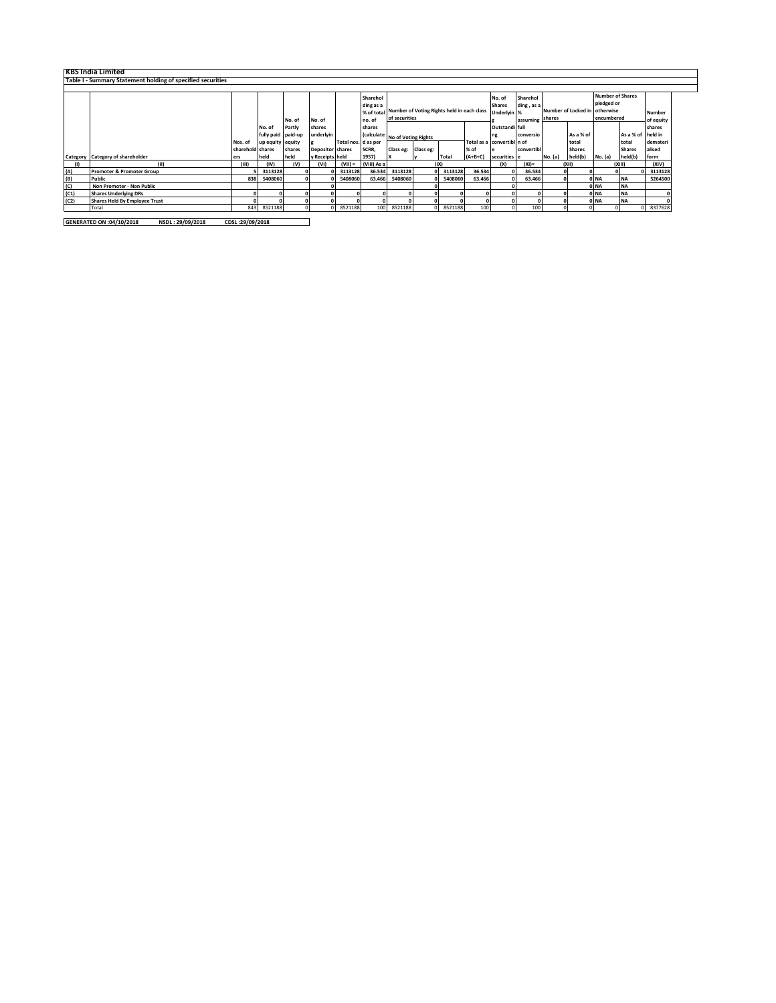|      | <b>KBS India Limited</b>                                    |                  |                    |          |                         |                     |             |                                                       |   |         |           |                            |            |         |                     |            |                   |           |
|------|-------------------------------------------------------------|------------------|--------------------|----------|-------------------------|---------------------|-------------|-------------------------------------------------------|---|---------|-----------|----------------------------|------------|---------|---------------------|------------|-------------------|-----------|
|      | Table I - Summary Statement holding of specified securities |                  |                    |          |                         |                     |             |                                                       |   |         |           |                            |            |         |                     |            |                   |           |
|      |                                                             |                  |                    |          |                         |                     |             |                                                       |   |         |           |                            |            |         |                     |            |                   |           |
|      |                                                             |                  |                    |          |                         |                     | Sharehol    | <b>Number of Shares</b><br>Sharehol<br>No. of         |   |         |           |                            |            |         |                     |            |                   |           |
|      |                                                             |                  |                    |          |                         |                     | ding as a   |                                                       |   |         |           | <b>Shares</b>              | ding, as a |         |                     | pledged or |                   |           |
|      |                                                             |                  |                    |          |                         |                     |             | % of total Number of Voting Rights held in each class |   |         |           | Underlyin %                |            |         | Number of Locked in | otherwise  |                   | Number    |
|      |                                                             |                  |                    | No. of   | No. of                  |                     | no. of      | of securities                                         |   |         |           | assuming                   |            | shares  |                     | encumbered |                   | of equity |
|      |                                                             |                  | No. of             | Partly   | shares                  |                     | shares      |                                                       |   |         |           | Outstandi full             |            |         |                     |            |                   | shares    |
|      |                                                             |                  | fully paid paid-up |          | underlyin               |                     |             | (calculate No of Voting Rights                        |   |         |           | ng                         | conversio  |         | As a % of           |            | As a % of held in |           |
|      |                                                             | Nos. of          | up equity equity   |          |                         | Total nos. d as per |             |                                                       |   |         |           | Total as a convertibl n of |            |         | total               |            | total             | demateri  |
|      |                                                             | sharehold shares |                    | shares   | <b>Depositor</b> shares |                     | SCRR,       | Class eg: Class eg:                                   |   |         | % of      |                            | convertib  |         | <b>Shares</b>       |            | <b>Shares</b>     | alised    |
|      | Category Category of shareholder                            | ers              | held               | held     | y Receipts held         |                     | 1957)       |                                                       | v | Total   | $(A+B+C)$ | securities e               |            | No. (a) | held(b)             | No. (a)    | held(b)           | form      |
|      | (11)                                                        | (III)            | (IV)               | (v)      | (VI)                    | $(VII) =$           | (VIII) As a |                                                       |   | (IX)    |           | (X)                        | $(XI)$ =   |         | (X  )               |            | (XIII)            | (XIV)     |
| (A)  | <b>Promoter &amp; Promoter Group</b>                        |                  | 3113128            |          |                         | 3113128             | 36.534      | 3113128                                               |   | 3113128 | 36.534    |                            | 36.534     |         |                     |            |                   | 3113128   |
| (B)  | Public                                                      | 838              | 5408060            | $\Omega$ |                         | 5408060             | 63.466      | 5408060                                               |   | 5408060 | 63.466    |                            | 63.466     |         |                     | 0 NA       | <b>NA</b>         | 5264500   |
| (C)  | Non Promoter - Non Public                                   |                  |                    |          |                         |                     |             |                                                       |   |         |           |                            |            |         |                     | 0 NA       | <b>NA</b>         |           |
| (C1) | <b>Shares Underlying DRs</b>                                |                  |                    |          |                         |                     |             |                                                       |   |         |           |                            |            |         |                     | 0 NA       | <b>NA</b>         |           |
| (C2) | <b>Shares Held By Employee Trust</b>                        |                  |                    |          |                         |                     |             |                                                       |   |         |           |                            |            |         |                     | 0 NA       | <b>NA</b>         |           |
|      | Total                                                       | 843              | 8521188            |          |                         | 8521188             | 100         | 8521188                                               |   | 8521188 | 100       |                            | 100        |         |                     |            |                   | 8377628   |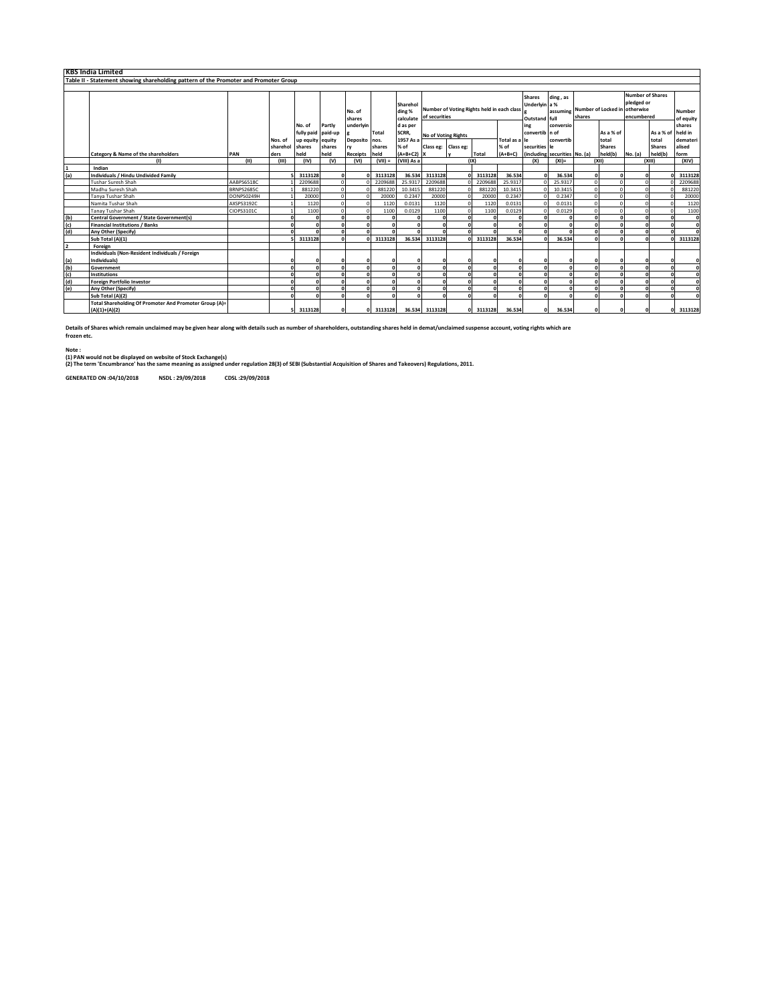|               | <b>KBS India Limited</b>                                                             |                   |          |                    |        |                  |              |                                 |                                                             |   |         |                                                 |                               |           |          |                                                                                               |         |                            |              |
|---------------|--------------------------------------------------------------------------------------|-------------------|----------|--------------------|--------|------------------|--------------|---------------------------------|-------------------------------------------------------------|---|---------|-------------------------------------------------|-------------------------------|-----------|----------|-----------------------------------------------------------------------------------------------|---------|----------------------------|--------------|
|               | Table II - Statement showing shareholding pattern of the Promoter and Promoter Group |                   |          |                    |        |                  |              |                                 |                                                             |   |         |                                                 |                               |           |          |                                                                                               |         |                            |              |
|               |                                                                                      |                   |          |                    |        |                  |              |                                 |                                                             |   |         |                                                 |                               |           |          |                                                                                               |         |                            |              |
|               |                                                                                      |                   |          |                    |        | No. of<br>shares |              | Sharehol<br>ding %<br>calculate | Number of Voting Rights held in each class<br>of securities |   |         | <b>Shares</b><br>Underlyin a %<br>Outstand full | ding, as                      | shares    |          | <b>Number of Shares</b><br>pledged or<br>assuming Number of Locked in otherwise<br>encumbered |         | <b>Number</b><br>of equity |              |
|               |                                                                                      |                   |          | No. of             | Partly | underlyin        |              | d as per                        |                                                             |   |         |                                                 | ing                           | conversio |          |                                                                                               |         |                            | shares       |
|               |                                                                                      |                   |          | fully paid paid-up |        |                  | <b>Total</b> | SCRR,                           | No of Voting Rights                                         |   |         |                                                 | convertib n of                |           |          | As a % of                                                                                     |         | As a % of held in          |              |
|               |                                                                                      |                   | Nos. of  | up equity equity   |        | Deposito nos.    |              | 1957 As a                       |                                                             |   |         | Total as a le                                   |                               | convertib |          | total                                                                                         |         | total                      | demateri     |
|               |                                                                                      |                   | sharehol | shares             | shares | rv               | shares       | % of                            | Class eg: Class eg:                                         |   |         | % of                                            | securities le                 |           |          | <b>Shares</b>                                                                                 |         | <b>Shares</b>              | alised       |
|               | <b>Category &amp; Name of the shareholders</b>                                       | PAN               | ders     | held               | held   | Receipts held    |              | $(A+B+C2)$ X                    |                                                             |   | Total   | $(A+B+C)$                                       | (including securities No. (a) |           |          | held(b)                                                                                       | No. (a) | held(b)                    | form         |
|               | (1)                                                                                  | (11)              | (III)    | (IV)               | (v)    | (VI)             | $(VII) =$    | (VIII) As a                     |                                                             |   | (1)     |                                                 | (X)                           | $(XI) =$  |          | (X  )                                                                                         |         | (X  )                      | (XIV)        |
|               | Indian                                                                               |                   |          |                    |        |                  |              |                                 |                                                             |   |         |                                                 |                               |           |          |                                                                                               |         |                            |              |
| (a)           | Individuals / Hindu Undivided Family                                                 |                   |          | 3113128            |        |                  | 3113128      | 36.534                          | 3113128<br>2209688                                          |   | 3113128 | 36.534                                          | $\sqrt{2}$                    | 36.534    |          |                                                                                               |         |                            | 3113128      |
|               | <b>Tushar Suresh Shah</b>                                                            | AABPS6518C        |          | 2209688            |        |                  | 2209688      | 25.9317                         |                                                             |   | 2209688 | 25.9317                                         |                               | 25.9317   | $\Omega$ |                                                                                               |         |                            | 2209688      |
|               | Madhu Suresh Shah                                                                    | <b>BRNPS2685C</b> |          | 881220             |        |                  | 881220       | 10.3415                         | 881220                                                      |   | 881220  | 10.3415                                         |                               | 10.3415   |          |                                                                                               |         |                            | 881220       |
|               | Tanya Tushar Shah                                                                    | DONPS0249H        |          | 20000              |        |                  | 20000        | 0.2347                          | 20000                                                       |   | 20000   | 0.2347                                          |                               | 0.2347    |          |                                                                                               |         |                            | 20000        |
|               | Namita Tushar Shah                                                                   | AXSPS3192C        |          | 1120               |        |                  | 1120         | 0.0131                          | 1120                                                        |   | 1120    | 0.0131                                          |                               | 0.0131    |          |                                                                                               |         |                            | 1120         |
|               | <b>Tanay Tushar Shah</b>                                                             | CIOPS3101C        |          | 1100               |        |                  | 1100         | 0.0129                          | 1100                                                        |   | 1100    | 0.0129                                          | $\sqrt{2}$                    | 0.0129    |          |                                                                                               |         |                            | 1100         |
| $\frac{1}{2}$ | Central Government / State Government(s)                                             |                   |          |                    |        |                  |              |                                 |                                                             |   |         |                                                 | $\Omega$                      |           |          |                                                                                               |         |                            | $\mathbf{0}$ |
|               | <b>Financial Institutions / Banks</b>                                                |                   |          |                    |        |                  | n            |                                 |                                                             |   | $\sim$  | $\sqrt{2}$                                      | $\mathbf{r}$                  | $\Omega$  |          |                                                                                               |         |                            | $\Omega$     |
| (d)           | Any Other (Specify)                                                                  |                   |          |                    |        |                  |              |                                 |                                                             |   |         |                                                 | $\mathbf{r}$                  |           |          |                                                                                               |         |                            | n            |
|               | Sub Total (A)(1)                                                                     |                   |          | 3113128            |        |                  | 3113128      | 36.534                          | 3113128                                                     | n | 3113128 | 36.534                                          | $\sqrt{2}$                    | 36.534    |          |                                                                                               |         |                            | 3113128      |
| 2             | Foreign                                                                              |                   |          |                    |        |                  |              |                                 |                                                             |   |         |                                                 |                               |           |          |                                                                                               |         |                            |              |
|               | Individuals (Non-Resident Individuals / Foreign                                      |                   |          |                    |        |                  |              |                                 |                                                             |   |         |                                                 |                               |           |          |                                                                                               |         |                            |              |
| (a)           | Individuals)                                                                         |                   |          |                    |        |                  |              |                                 |                                                             |   |         |                                                 |                               |           |          |                                                                                               |         |                            | o            |
| (b)           | Government                                                                           |                   |          |                    |        |                  |              |                                 |                                                             |   |         | n                                               | $\Omega$                      | $\Omega$  |          |                                                                                               |         |                            | $\Omega$     |
| (c)           | <b>Institutions</b>                                                                  |                   |          |                    |        |                  |              |                                 |                                                             |   |         |                                                 | $\mathbf{r}$                  | n         |          |                                                                                               |         |                            | $\sqrt{2}$   |
| (d)           | <b>Foreign Portfolio Investor</b>                                                    |                   |          |                    |        |                  |              |                                 |                                                             |   |         |                                                 | $\sqrt{2}$                    |           |          |                                                                                               |         |                            | O            |
| (e)           | Any Other (Specify)                                                                  |                   |          |                    |        |                  |              |                                 |                                                             |   |         |                                                 | $\sqrt{2}$                    |           |          |                                                                                               |         |                            | n            |
|               | Sub Total (A)(2)                                                                     |                   |          |                    |        |                  |              |                                 |                                                             | n |         |                                                 | $\sqrt{2}$                    | $\Omega$  |          |                                                                                               |         |                            |              |
|               | Total Shareholding Of Promoter And Promoter Group (A)=                               |                   |          |                    |        |                  |              |                                 |                                                             |   |         |                                                 |                               |           |          |                                                                                               |         |                            |              |
|               | $(A)(1)+(A)(2)$                                                                      |                   |          | 3113128            |        |                  | 3113128      |                                 | 36.534 3113128                                              |   | 3113128 | 36.534                                          | $\Omega$                      | 36.534    |          |                                                                                               |         |                            | 3113128      |

**Details of Shares which remain unclaimed may be given hear along with details such as number of shareholders, outstanding shares held in demat/unclaimed suspense account, voting rights which are frozen etc.**

**Note :**

(1) PAN would not be displayed on website of Stock Exchange(s)<br>(2) The term 'Encumbrance' has the same meaning as assigned under regulation 28(3) of SEBI (Substantial Acquisition of Shares and Takeovers) Regulations, 2011.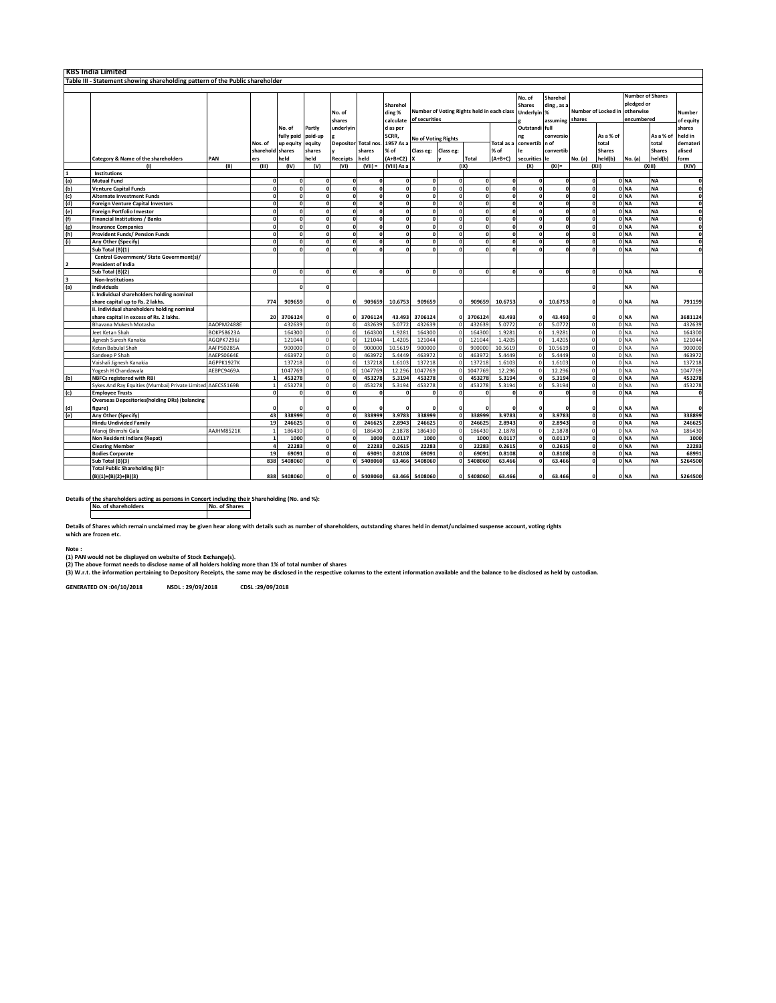|                                                                              | <b>KBS India Limited</b>                                   |            |                  |            |         |                  |                  |                                 |                                                             |              |              |                                                                              |                |                               |              |                                                                  |                 |                     |              |
|------------------------------------------------------------------------------|------------------------------------------------------------|------------|------------------|------------|---------|------------------|------------------|---------------------------------|-------------------------------------------------------------|--------------|--------------|------------------------------------------------------------------------------|----------------|-------------------------------|--------------|------------------------------------------------------------------|-----------------|---------------------|--------------|
| Table III - Statement showing shareholding pattern of the Public shareholder |                                                            |            |                  |            |         |                  |                  |                                 |                                                             |              |              |                                                                              |                |                               |              |                                                                  |                 |                     |              |
|                                                                              |                                                            |            |                  |            |         |                  |                  |                                 |                                                             |              |              |                                                                              |                |                               |              |                                                                  |                 |                     |              |
|                                                                              |                                                            |            |                  |            |         | No. of<br>shares |                  | Sharehol<br>ding %<br>calculate | Number of Voting Rights held in each class<br>of securities |              |              | Sharehol<br>No. of<br><b>Shares</b><br>ding, as a<br>Underlyin %<br>assuming |                | Number of Locked in<br>shares |              | <b>Number of Shares</b><br>pledged or<br>otherwise<br>encumbered |                 | Number<br>of equity |              |
|                                                                              |                                                            |            |                  | No. of     | Partly  | underlyir        |                  | d as per                        |                                                             |              |              |                                                                              | Outstandi full |                               |              |                                                                  |                 |                     | shares       |
|                                                                              |                                                            |            |                  | fully paid | paid-up |                  |                  | SCRR,                           |                                                             |              |              |                                                                              | ng             | conversio                     |              | As a % of                                                        |                 | As a % of           | held in      |
|                                                                              |                                                            |            | Nos. of          | up equity  | equity  | Depositor        | <b>Total nos</b> | 1957 As                         | <b>No of Voting Rights</b>                                  |              |              | <b>Total</b> as                                                              | convertib n of |                               |              | total                                                            |                 | total               | demateri     |
|                                                                              |                                                            |            | sharehold shares |            | shares  |                  | shares           | % of                            | Class eg:                                                   | Class eg:    |              | % of                                                                         | l۴             | convertib                     |              | <b>Shares</b>                                                    |                 | <b>Shares</b>       | alised       |
|                                                                              | Category & Name of the shareholders                        | PAN        | ers              | held       | held    | Receipts         | held             | $(A+B+C2)$                      |                                                             |              | Total        | $(A+B+C)$                                                                    | securities     | -le                           | No. (a)      | held(b)                                                          | No. (a)         | held(b)             | form         |
|                                                                              | (1)                                                        | (II)       | (III)            | (IV)       | (V)     | (VI)             | $(VII) =$        | (VIII) As a                     |                                                             |              | (IX)         |                                                                              | (X)            | $(XI) =$                      |              | (XII)                                                            |                 | (XIII)              | (XIV)        |
|                                                                              | Institutions                                               |            |                  |            |         |                  |                  |                                 |                                                             |              |              |                                                                              |                |                               |              |                                                                  |                 |                     |              |
|                                                                              | <b>Mutual Fund</b>                                         |            | $\mathbf{0}$     | n          |         |                  |                  | o                               | $\mathbf{a}$                                                | $\mathbf{r}$ | $\mathbf{a}$ | $\Omega$                                                                     | £              | n                             | o            |                                                                  | 0 <sub>NA</sub> | <b>NA</b>           | $\mathbf{0}$ |
|                                                                              | <b>Venture Capital Funds</b>                               |            | $\mathbf{0}$     | n          |         |                  |                  | $\mathbf{r}$                    | $\mathbf{r}$                                                | $\mathbf{r}$ | $\mathbf{a}$ | $\mathbf{a}$                                                                 |                |                               | o            |                                                                  | 0 <sub>NA</sub> | <b>NA</b>           | $\mathbf{0}$ |
|                                                                              | <b>Alternate Investment Funds</b>                          |            | $\Omega$         |            |         |                  |                  | $\mathbf{o}$                    |                                                             | Ó            |              | $\mathbf{a}$                                                                 |                |                               | $\mathbf{0}$ |                                                                  | 0 <sub>NA</sub> | <b>NA</b>           | $\mathbf{r}$ |
|                                                                              | <b>Foreign Venture Capital Investors</b>                   |            | $\mathbf{o}$     | n          |         |                  |                  | o                               |                                                             | 0            | $\mathbf{a}$ | $\mathbf{0}$                                                                 | n              | n                             | o            |                                                                  | 0 <sub>NA</sub> | <b>NA</b>           | $\mathbf{0}$ |
|                                                                              | <b>Foreign Portfolio Investor</b>                          |            | $\mathbf{0}$     | n          |         | n                |                  | o                               |                                                             | $\mathbf{o}$ | $\Omega$     | $\Omega$                                                                     |                | n                             | o            |                                                                  | 0 <sub>NA</sub> | <b>NA</b>           | n            |
| (a) (b) (c) (d) (e) (f) (g)                                                  | <b>Financial Institutions / Banks</b>                      |            | $\mathbf{o}$     | n          |         |                  |                  | $\mathbf{0}$                    |                                                             | O            | $\Omega$     | $\Omega$                                                                     |                | n                             | <sub>0</sub> |                                                                  | 0 <sub>NA</sub> | <b>NA</b>           | $\Omega$     |
|                                                                              | <b>Insurance Companies</b>                                 |            | $\mathbf{0}$     |            |         |                  |                  | Ó                               |                                                             | Ó            | n            | $\mathbf{a}$                                                                 |                |                               | ō            |                                                                  | 0 <sub>NA</sub> | <b>NA</b>           | $\mathbf{0}$ |
| (h)                                                                          | <b>Provident Funds/ Pension Funds</b>                      |            | $\mathbf{0}$     | n          |         |                  |                  | o                               |                                                             | $\mathbf{r}$ | $\mathbf{0}$ | $\mathbf{0}$                                                                 |                |                               | O            |                                                                  | 0 NA            | <b>NA</b>           | n            |
| (i)                                                                          | Any Other (Specify)                                        |            | $\mathbf{0}$     | n          |         | n                |                  | $\mathbf{0}$                    |                                                             | $\mathbf{o}$ | $\mathbf{a}$ | $\Omega$                                                                     |                | n                             | o            |                                                                  | 0 <sub>NA</sub> | <b>NA</b>           | $\mathbf{0}$ |
|                                                                              | Sub Total (B)(1)                                           |            | $\Omega$         | n          |         |                  |                  | n                               |                                                             | n            |              | n                                                                            |                |                               | $\mathbf{o}$ |                                                                  | 0 NA            | <b>NA</b>           |              |
|                                                                              | Central Government/ State Government(s)/                   |            |                  |            |         |                  |                  |                                 |                                                             |              |              |                                                                              |                |                               |              |                                                                  |                 |                     |              |
| 2                                                                            | <b>President of India</b>                                  |            |                  |            |         |                  |                  |                                 |                                                             |              |              |                                                                              |                |                               |              |                                                                  |                 |                     |              |
|                                                                              | Sub Total (B)(2)                                           |            | $\Omega$         | n          |         | n                | $\Omega$         | n                               | $\mathbf{a}$                                                | n            | $\Omega$     | n                                                                            |                | n                             | $\Omega$     |                                                                  | 0 <sub>NA</sub> | <b>NA</b>           | n            |
| 3                                                                            | <b>Non-Institutions</b>                                    |            |                  |            |         |                  |                  |                                 |                                                             |              |              |                                                                              |                |                               |              |                                                                  |                 |                     |              |
| (a)                                                                          | <b>Individuals</b>                                         |            |                  |            |         |                  |                  |                                 |                                                             |              |              |                                                                              |                |                               | $\Omega$     |                                                                  | <b>NA</b>       | <b>NA</b>           |              |
|                                                                              | i. Individual shareholders holding nominal                 |            |                  |            |         |                  |                  |                                 |                                                             |              |              |                                                                              |                |                               |              |                                                                  |                 |                     |              |
|                                                                              | share capital up to Rs. 2 lakhs.                           |            | 774              | 909659     |         |                  | 909659           | 10.6753                         | 909659                                                      |              | 909659       | 10.6753                                                                      |                | 10.6753                       | O            |                                                                  | 0 NA            | <b>NA</b>           | 791199       |
|                                                                              | ii. Individual shareholders holding nominal                |            |                  |            |         |                  |                  |                                 |                                                             |              |              |                                                                              |                |                               |              |                                                                  |                 |                     |              |
|                                                                              | share capital in excess of Rs. 2 lakhs.                    |            | 20               | 3706124    |         |                  | 3706124          | 43.493                          | 3706124                                                     |              | 3706124      | 43.493                                                                       |                | 43.493                        | n            |                                                                  | 0 NA            | <b>NA</b>           | 3681124      |
|                                                                              | Bhavana Mukesh Motasha                                     | AAOPM2488E |                  | 432639     |         |                  | 43263            | 5.0772                          | 432639                                                      |              | 432639       | 5.0772                                                                       |                | 5.077                         | $\circ$      |                                                                  | 0 <sub>NA</sub> | <b>NA</b>           | 432639       |
|                                                                              | Jeet Ketan Shah                                            | BOKPS8623A |                  | 164300     |         |                  | 16430            | 1.9283                          | 164300                                                      |              | 164300       | 1.9281                                                                       |                | 1.928                         | $\Omega$     |                                                                  | 0 <sub>NA</sub> | <b>NA</b>           | 164300       |
|                                                                              | Jignesh Suresh Kanakia                                     | AGOPK7296J |                  | 121044     |         |                  | 12104            | 1.4205                          | 121044                                                      |              | 121044       | 1.4205                                                                       |                | 1.4205                        | $\Omega$     |                                                                  | 0 <sub>NA</sub> | NA                  | 121044       |
|                                                                              | Ketan Babulal Shah                                         | AAFPS0285A |                  | 900000     |         |                  | 90000            | 10.5619                         | 90000                                                       |              | 900000       | 10.5619                                                                      |                | 10.5619                       | $\Omega$     |                                                                  | 0 <sub>NA</sub> | <b>NA</b>           | 900000       |
|                                                                              | Sandeep P Shah                                             | AAEPS0664E |                  | 463972     |         |                  | 46397            | 5.4449                          | 46397                                                       |              | 463972       | 5.4449                                                                       |                | 5.4449                        | $\Omega$     |                                                                  | 0 <sub>NA</sub> | <b>NA</b>           | 463972       |
|                                                                              | Vaishali Jignesh Kanakia                                   | AGPPK1927K |                  | 137218     |         |                  | 13721            | 1.6103                          | 137218                                                      |              | 137218       | 1.6103                                                                       |                | 1.6103                        | $\Omega$     |                                                                  | 0 <sub>NA</sub> | <b>NA</b>           | 137218       |
|                                                                              | Yogesh H Chandawala                                        | AEBPC9469A |                  | 1047769    |         |                  | 1047769          | 12.296                          | 1047769                                                     |              | 1047769      | 12.296                                                                       |                | 12.296                        | $\Omega$     |                                                                  | 0 <sub>NA</sub> | NA                  | 1047769      |
| (b)                                                                          | <b>NBFCs registered with RBI</b>                           |            |                  | 453278     |         |                  | 453278           | 5.3194                          | 453278                                                      |              | 453278       | 5.3194                                                                       |                | 5.3194                        | ō            |                                                                  | 0 <sub>NA</sub> | <b>NA</b>           | 453278       |
|                                                                              | Sykes And Ray Equities (Mumbai) Private Limited AAECS5169B |            |                  | 453278     |         |                  | 45327            | 5.3194                          | 453278                                                      | $\Omega$     | 453278       | 5.3194                                                                       |                | 5.3194                        | $\circ$      |                                                                  | 0 NA            | <b>NA</b>           | 453278       |
| (c)                                                                          | <b>Employee Trusts</b>                                     |            | $\Omega$         |            |         |                  |                  |                                 |                                                             |              |              |                                                                              |                |                               | $\Omega$     |                                                                  | 0 NA            | <b>NA</b>           | O            |
|                                                                              | <b>Overseas Depositories(holding DRs) (balancing</b>       |            |                  |            |         |                  |                  |                                 |                                                             |              |              |                                                                              |                |                               |              |                                                                  |                 |                     |              |
| (d)                                                                          | figure)                                                    |            | $\Omega$         |            |         |                  |                  |                                 |                                                             |              |              |                                                                              |                |                               | O            |                                                                  | 0 NA            | <b>NA</b>           | $\sqrt{2}$   |
| (e)                                                                          | Any Other (Specify)                                        |            | 43               | 338999     |         |                  | 338999           | 3.9783                          | 338999                                                      | $\Omega$     | 338999       | 3.9783                                                                       |                | 3.9783                        | 0            |                                                                  | 0 <sub>NA</sub> | <b>NA</b>           | 338899       |
|                                                                              | <b>Hindu Undivided Family</b>                              |            | 19               | 246625     |         |                  | 246625           | 2.8943                          | 246625                                                      | O            | 246625       | 2.8943                                                                       |                | 2.8943                        | o            |                                                                  | 0 <sub>NA</sub> | <b>NA</b>           | 246625       |
|                                                                              | Manoj Bhimshi Gala                                         | AAJHM8521K |                  | 186430     |         |                  | 18643            | 2.1878                          | 186430                                                      |              | 186430       | 2.1878                                                                       |                | 2.1878                        | $\Omega$     |                                                                  | 0 <sub>NA</sub> | <b>NA</b>           | 186430       |
|                                                                              | Non Resident Indians (Repat)                               |            |                  | 1000       |         |                  | 1000             | 0.0117                          | 1000                                                        | $\Omega$     | 1000         | 0.0117                                                                       |                | 0.0117                        | $\mathbf{o}$ |                                                                  | 0 <sub>NA</sub> | <b>NA</b>           | 1000         |
|                                                                              | <b>Clearing Member</b>                                     |            | $\overline{a}$   | 22283      |         |                  | 2228             | 0.2615                          | 22283                                                       | O            | 22283        | 0.2615                                                                       |                | 0.261!                        | o            |                                                                  | 0 NA            | <b>NA</b>           | 22283        |
|                                                                              | <b>Bodies Corporate</b>                                    |            | 19               | 69091      |         |                  | 6909:            | 0.8108                          | 69091                                                       | O            | 69091        | 0.8108                                                                       |                | 0.8108                        | $\mathbf{0}$ |                                                                  | 0 NA            | <b>NA</b>           | 68991        |
|                                                                              | Sub Total (B)(3)                                           |            | 838              | 5408060    |         |                  | 540806           | 63.466                          | 5408060                                                     |              | 5408060      | 63.466                                                                       |                | 63.466                        | n            |                                                                  | 0 <sub>NA</sub> | <b>NA</b>           | 5264500      |
|                                                                              | Total Public Shareholding (B)=                             |            |                  |            |         |                  |                  |                                 |                                                             |              |              |                                                                              |                |                               |              |                                                                  |                 |                     |              |
|                                                                              | $(B)(1)+(B)(2)+(B)(3)$                                     |            | 838              | 5408060    |         |                  | 5408060          | 63.466                          | 5408060                                                     | n            | 5408060      | 63.466                                                                       |                | 63.466                        | $\Omega$     |                                                                  | 0 NA            | <b>NA</b>           | 5264500      |

**Details of the shareholders acting as persons in Concert including their Shareholding (No. and %): No. of shareholders No. of Shares**

**Details of Shares which remain unclaimed may be given hear along with details such as number of shareholders, outstanding shares held in demat/unclaimed suspense account, voting rights which are frozen etc.**

**Note : (1) PAN would not be displayed on website of Stock Exchange(s).** 

(2) The above format needs to disclose name of all holders holding more than 1% of total number of shares<br>(3) W.r.t. the information pertaining to Depository Receipts, the same may be disclosed in the respective columns to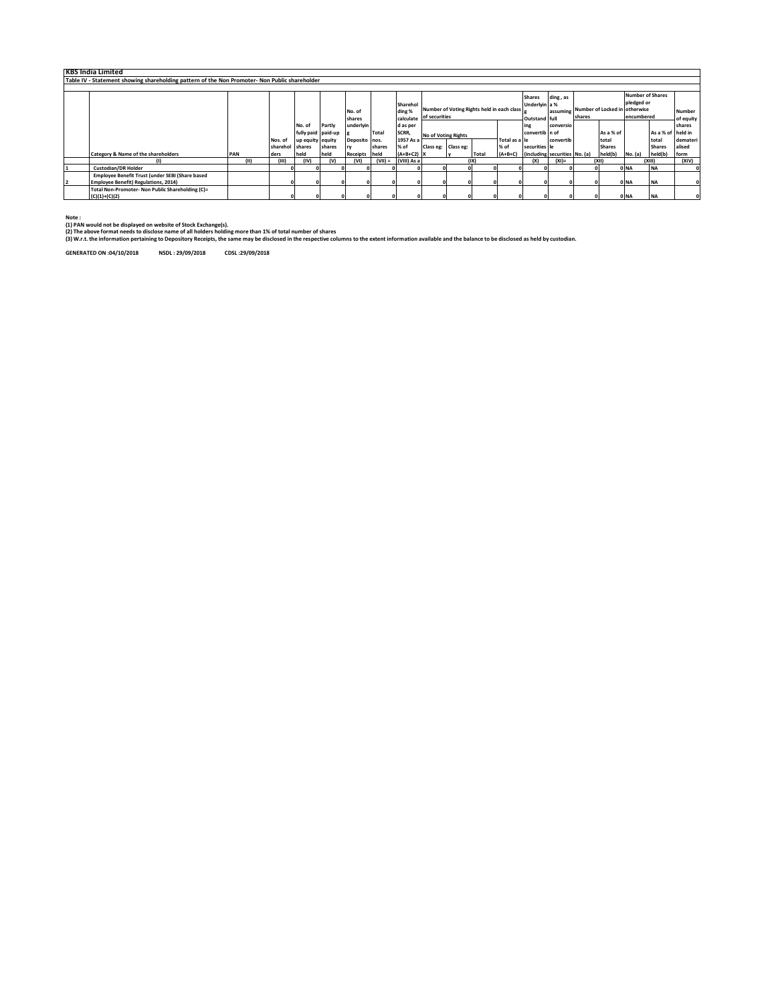| <b>KBS India Limited</b>                                                                      |      |                 |                    |        |               |           |              |                         |  |                                            |               |                               |           |                                        |               |                         |                   |               |
|-----------------------------------------------------------------------------------------------|------|-----------------|--------------------|--------|---------------|-----------|--------------|-------------------------|--|--------------------------------------------|---------------|-------------------------------|-----------|----------------------------------------|---------------|-------------------------|-------------------|---------------|
| Table IV - Statement showing shareholding pattern of the Non Promoter- Non Public shareholder |      |                 |                    |        |               |           |              |                         |  |                                            |               |                               |           |                                        |               |                         |                   |               |
|                                                                                               |      |                 |                    |        |               |           |              |                         |  |                                            |               |                               |           |                                        |               |                         |                   |               |
|                                                                                               |      |                 |                    |        |               |           |              |                         |  |                                            |               | <b>Shares</b>                 | ding, as  |                                        |               | <b>Number of Shares</b> |                   |               |
|                                                                                               |      |                 |                    |        |               |           | Sharehol     |                         |  |                                            |               | Underlyin a %                 |           |                                        |               | pledged or              |                   |               |
|                                                                                               |      |                 |                    |        | No. of        |           | ding %       |                         |  | Number of Voting Rights held in each class |               |                               |           | assuming Number of Locked in otherwise |               |                         |                   | <b>Number</b> |
|                                                                                               |      |                 |                    |        | shares        |           |              | calculate of securities |  |                                            |               | <b>Outstand full</b>          |           | shares                                 |               | encumbered              | of equity         |               |
|                                                                                               |      |                 | No. of             | Partly | underlyin     |           | d as per     |                         |  |                                            |               | ing                           | conversio |                                        |               |                         |                   | shares        |
|                                                                                               |      |                 | fully paid paid-up |        |               | Total     | SCRR,        | No of Voting Rights     |  |                                            |               | convertib n of                |           |                                        | As a % of     |                         | As a % of held in |               |
|                                                                                               |      | Nos. of         | up equity equity   |        | Deposito nos. |           | 1957 As a    |                         |  |                                            | Total as a le |                               | convertib |                                        | total         |                         | total             | demateri      |
|                                                                                               |      | sharehol shares |                    | shares |               | shares    | % of         | Class eg: Class eg:     |  |                                            | % of          | securities le                 |           |                                        | <b>Shares</b> |                         | <b>Shares</b>     | alised        |
| <b>Category &amp; Name of the shareholders</b>                                                | PAN  | ders            | held               | held   | Receipts held |           | $(A+B+C2)$ X |                         |  | Total                                      | $(A+B+C)$     | (including securities No. (a) |           |                                        | held(b)       | No. (a)                 | held(b)           | form          |
| $\omega$                                                                                      | (11) | (III)           | (IV)               | (V)    | (VI)          | $(VII) =$ | (VIII) As a  |                         |  | (XI)                                       |               | (x)                           | $(XI) =$  |                                        | (X  )         |                         | (x  )             | (XIV)         |
| <b>Custodian/DR Holder</b>                                                                    |      |                 |                    |        |               |           |              |                         |  |                                            |               |                               |           |                                        |               | 0 NA                    | <b>NA</b>         |               |
| Employee Benefit Trust (under SEBI (Share based                                               |      |                 |                    |        |               |           |              |                         |  |                                            |               |                               |           |                                        |               |                         |                   |               |
| <b>Employee Benefit) Regulations, 2014)</b>                                                   |      |                 |                    |        |               |           |              |                         |  |                                            |               |                               |           |                                        |               | 0 NA                    | <b>NA</b>         |               |
| Total Non-Promoter- Non Public Shareholding (C)=                                              |      |                 |                    |        |               |           |              |                         |  |                                            |               |                               |           |                                        |               |                         |                   |               |
| $(C)(1)+(C)(2)$                                                                               |      |                 |                    |        |               |           |              |                         |  |                                            |               |                               |           |                                        |               | 0 NA                    | <b>NA</b>         |               |

**Note : (1) PAN would not be displayed on website of Stock Exchange(s).** 

(2) The above format needs to disiose name of all holders holding more than 1% of total number of shares<br>(3) W.r.t. the information pertaining to Depository Receipts, the same may be disclosed in the respective columns to